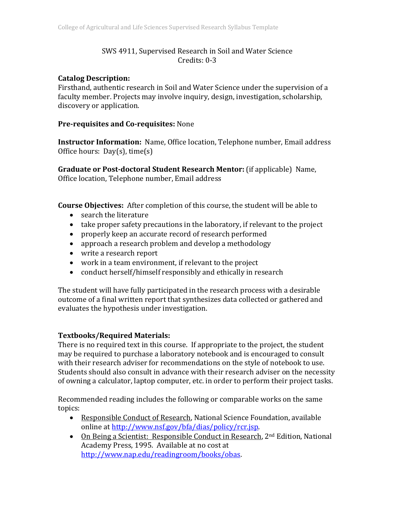# SWS 4911, Supervised Research in Soil and Water Science  $C$ redits:  $0-3$

## **Catalog Description:**

Firsthand, authentic research in Soil and Water Science under the supervision of a faculty member. Projects may involve inquiry, design, investigation, scholarship, discovery or application.

## **Pre‐requisites and Co‐requisites:** None

**Instructor Information:** Name, Office location, Telephone number, Email address Office hours:  $Day(s)$ , time(s)

**Graduate or Post-doctoral Student Research Mentor:** (if applicable) Name, Office location, Telephone number, Email address

**Course Objectives:** After completion of this course, the student will be able to

- search the literature
- take proper safety precautions in the laboratory, if relevant to the project
- properly keep an accurate record of research performed
- approach a research problem and develop a methodology
- write a research report
- work in a team environment, if relevant to the project
- conduct herself/himself responsibly and ethically in research

The student will have fully participated in the research process with a desirable outcome of a final written report that synthesizes data collected or gathered and evaluates the hypothesis under investigation.

## **Textbooks/Required Materials:**

There is no required text in this course. If appropriate to the project, the student may be required to purchase a laboratory notebook and is encouraged to consult with their research adviser for recommendations on the style of notebook to use. Students should also consult in advance with their research adviser on the necessity of owning a calculator, laptop computer, etc. in order to perform their project tasks.

Recommended reading includes the following or comparable works on the same topics: 

- Responsible Conduct of Research, National Science Foundation, available online at http://www.nsf.gov/bfa/dias/policy/rcr.jsp.
- On Being a Scientist: Responsible Conduct in Research, 2<sup>nd</sup> Edition, National Academy Press, 1995. Available at no cost at http://www.nap.edu/readingroom/books/obas.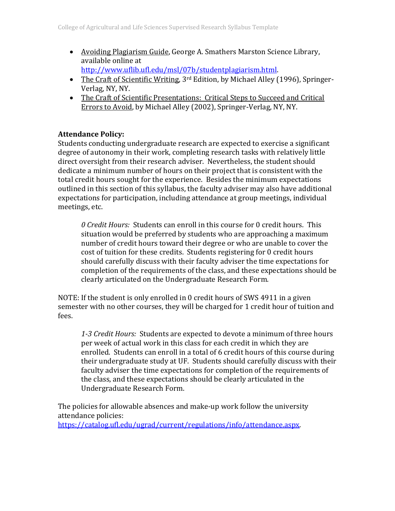• Avoiding Plagiarism Guide, George A. Smathers Marston Science Library, available online at

http://www.uflib.ufl.edu/msl/07b/studentplagiarism.html. 

- The Craft of Scientific Writing,  $3^{rd}$  Edition, by Michael Alley (1996), Springer-Verlag, NY, NY.
- The Craft of Scientific Presentations: Critical Steps to Succeed and Critical Errors to Avoid, by Michael Alley (2002), Springer-Verlag, NY, NY.

## **Attendance Policy:**

Students conducting undergraduate research are expected to exercise a significant degree of autonomy in their work, completing research tasks with relatively little direct oversight from their research adviser. Nevertheless, the student should dedicate a minimum number of hours on their project that is consistent with the total credit hours sought for the experience. Besides the minimum expectations outlined in this section of this syllabus, the faculty adviser may also have additional expectations for participation, including attendance at group meetings, individual meetings, etc.

*0 Credit Hours:* Students can enroll in this course for 0 credit hours. This situation would be preferred by students who are approaching a maximum number of credit hours toward their degree or who are unable to cover the cost of tuition for these credits. Students registering for 0 credit hours should carefully discuss with their faculty adviser the time expectations for completion of the requirements of the class, and these expectations should be clearly articulated on the Undergraduate Research Form.

NOTE: If the student is only enrolled in 0 credit hours of SWS 4911 in a given semester with no other courses, they will be charged for 1 credit hour of tuition and fees. 

*1‐3 Credit Hours:* Students are expected to devote a minimum of three hours per week of actual work in this class for each credit in which they are enrolled. Students can enroll in a total of 6 credit hours of this course during their undergraduate study at UF. Students should carefully discuss with their faculty adviser the time expectations for completion of the requirements of the class, and these expectations should be clearly articulated in the Undergraduate Research Form.

The policies for allowable absences and make-up work follow the university attendance policies: https://catalog.ufl.edu/ugrad/current/regulations/info/attendance.aspx.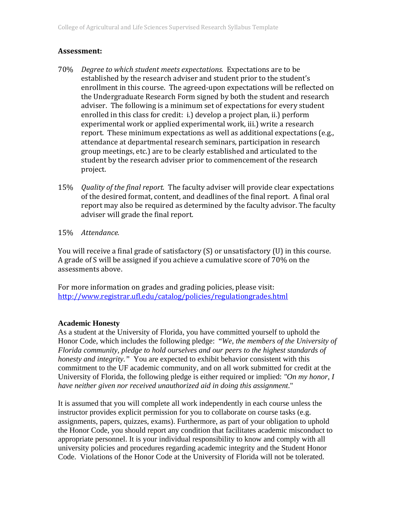### **Assessment:**

- 70% *Degree to which student meets expectations.* Expectations are to be established by the research adviser and student prior to the student's enrollment in this course. The agreed-upon expectations will be reflected on the Undergraduate Research Form signed by both the student and research adviser. The following is a minimum set of expectations for every student enrolled in this class for credit:  $i$ .) develop a project plan, ii.) perform experimental work or applied experimental work, iii.) write a research report. These minimum expectations as well as additional expectations (e.g., attendance at departmental research seminars, participation in research group meetings, etc.) are to be clearly established and articulated to the student by the research adviser prior to commencement of the research project.
- 15% *Quality of the final report.* The faculty adviser will provide clear expectations of the desired format, content, and deadlines of the final report. A final oral report may also be required as determined by the faculty advisor. The faculty adviser will grade the final report.
- 15% Attendance.

You will receive a final grade of satisfactory  $(S)$  or unsatisfactory  $(U)$  in this course. A grade of S will be assigned if you achieve a cumulative score of 70% on the assessments above.

For more information on grades and grading policies, please visit: http://www.registrar.ufl.edu/catalog/policies/regulationgrades.html 

### **Academic Honesty**

As a student at the University of Florida, you have committed yourself to uphold the Honor Code, which includes the following pledge: "*We, the members of the University of Florida community, pledge to hold ourselves and our peers to the highest standards of honesty and integrity."* You are expected to exhibit behavior consistent with this commitment to the UF academic community, and on all work submitted for credit at the University of Florida, the following pledge is either required or implied: *"On my honor, I have neither given nor received unauthorized aid in doing this assignment*."

It is assumed that you will complete all work independently in each course unless the instructor provides explicit permission for you to collaborate on course tasks (e.g. assignments, papers, quizzes, exams). Furthermore, as part of your obligation to uphold the Honor Code, you should report any condition that facilitates academic misconduct to appropriate personnel. It is your individual responsibility to know and comply with all university policies and procedures regarding academic integrity and the Student Honor Code. Violations of the Honor Code at the University of Florida will not be tolerated.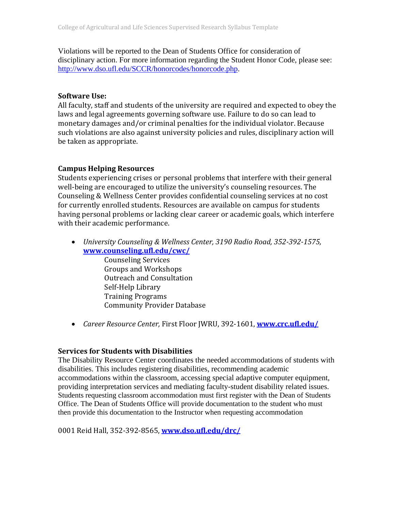Violations will be reported to the Dean of Students Office for consideration of disciplinary action. For more information regarding the Student Honor Code, please see: http://www.dso.ufl.edu/SCCR/honorcodes/honorcode.php.

### **Software Use:**

All faculty, staff and students of the university are required and expected to obey the laws and legal agreements governing software use. Failure to do so can lead to monetary damages and/or criminal penalties for the individual violator. Because such violations are also against university policies and rules, disciplinary action will be taken as appropriate.

## **Campus Helping Resources**

Students experiencing crises or personal problems that interfere with their general well-being are encouraged to utilize the university's counseling resources. The Counseling & Wellness Center provides confidential counseling services at no cost for currently enrolled students. Resources are available on campus for students having personal problems or lacking clear career or academic goals, which interfere with their academic performance.

 *University Counseling & Wellness Center, 3190 Radio Road, 352‐392‐1575,* **www.counseling.ufl.edu/cwc/**

Counseling Services Groups and Workshops **Outreach and Consultation** Self-Help Library Training Programs Community Provider Database 

• *Career Resource Center, First Floor JWRU, 392-1601, www.crc.ufl.edu/* 

## **Services for Students with Disabilities**

The Disability Resource Center coordinates the needed accommodations of students with disabilities. This includes registering disabilities, recommending academic accommodations within the classroom, accessing special adaptive computer equipment, providing interpretation services and mediating faculty-student disability related issues. Students requesting classroom accommodation must first register with the Dean of Students Office. The Dean of Students Office will provide documentation to the student who must then provide this documentation to the Instructor when requesting accommodation

0001 Reid Hall, 352‐392‐8565, **www.dso.ufl.edu/drc/**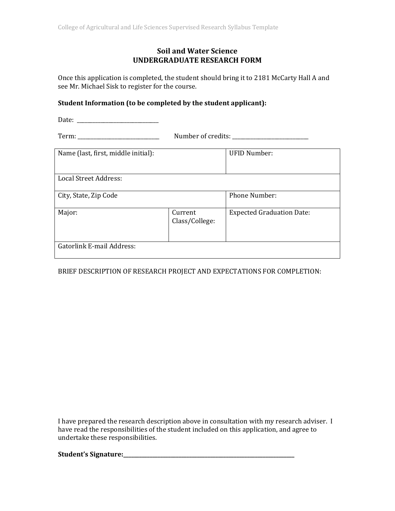### **Soil and Water Science UNDERGRADUATE RESEARCH FORM**

Once this application is completed, the student should bring it to 2181 McCarty Hall A and see Mr. Michael Sisk to register for the course.

#### **Student Information (to be completed by the student applicant):**

Date: \_\_\_\_\_\_\_\_\_\_\_\_\_\_\_\_\_\_\_\_\_\_\_\_\_\_\_\_\_\_\_ 

Term: \_\_\_\_\_\_\_\_\_\_\_\_\_\_\_\_\_\_\_\_\_\_\_\_\_\_\_\_\_\_\_ Number of credits: \_\_\_\_\_\_\_\_\_\_\_\_\_\_\_\_\_\_\_\_\_\_\_\_\_\_\_\_\_ 

| Name (last, first, middle initial): |                           | <b>UFID Number:</b>              |
|-------------------------------------|---------------------------|----------------------------------|
| Local Street Address:               |                           |                                  |
| City, State, Zip Code               |                           | <b>Phone Number:</b>             |
| Major:                              | Current<br>Class/College: | <b>Expected Graduation Date:</b> |
| <b>Gatorlink E-mail Address:</b>    |                           |                                  |

### BRIEF DESCRIPTION OF RESEARCH PROJECT AND EXPECTATIONS FOR COMPLETION:

I have prepared the research description above in consultation with my research adviser. I have read the responsibilities of the student included on this application, and agree to undertake these responsibilities.

**Student's Signature:\_\_\_\_\_\_\_\_\_\_\_\_\_\_\_\_\_\_\_\_\_\_\_\_\_\_\_\_\_\_\_\_\_\_\_\_\_\_\_\_\_\_\_\_\_\_\_\_\_\_\_\_\_\_\_\_\_\_\_\_\_\_\_\_\_**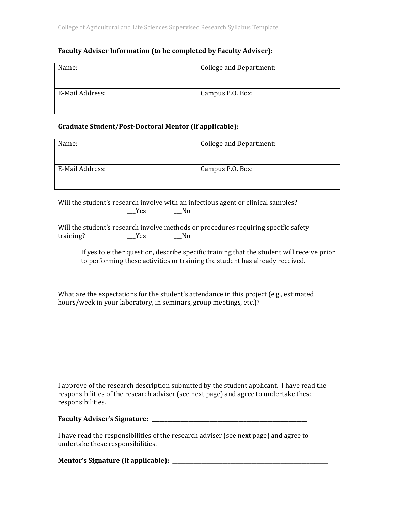#### **Faculty Adviser Information (to be completed by Faculty Adviser):**

| Name:           | College and Department: |
|-----------------|-------------------------|
| E-Mail Address: | Campus P.O. Box:        |

#### **Graduate Student/Post‐Doctoral Mentor (if applicable):**

| Name:           | <b>College and Department:</b> |
|-----------------|--------------------------------|
| E-Mail Address: | Campus P.O. Box:               |
|                 |                                |

Will the student's research involve with an infectious agent or clinical samples?  $Yes$  No

Will the student's research involve methods or procedures requiring specific safety training? \_\_\_Yes \_\_\_No 

If yes to either question, describe specific training that the student will receive prior to performing these activities or training the student has already received.

What are the expectations for the student's attendance in this project (e.g., estimated hours/week in your laboratory, in seminars, group meetings, etc.)?

I approve of the research description submitted by the student applicant. I have read the responsibilities of the research adviser (see next page) and agree to undertake these responsibilities.

### **Faculty Adviser's Signature: \_\_\_\_\_\_\_\_\_\_\_\_\_\_\_\_\_\_\_\_\_\_\_\_\_\_\_\_\_\_\_\_\_\_\_\_\_\_\_\_\_\_\_\_\_\_\_\_\_\_\_\_\_\_\_\_\_\_\_**

I have read the responsibilities of the research adviser (see next page) and agree to undertake these responsibilities.

**Mentor's Signature (if applicable): \_\_\_\_\_\_\_\_\_\_\_\_\_\_\_\_\_\_\_\_\_\_\_\_\_\_\_\_\_\_\_\_\_\_\_\_\_\_\_\_\_\_\_\_\_\_\_\_\_\_\_\_\_\_\_\_\_\_\_**